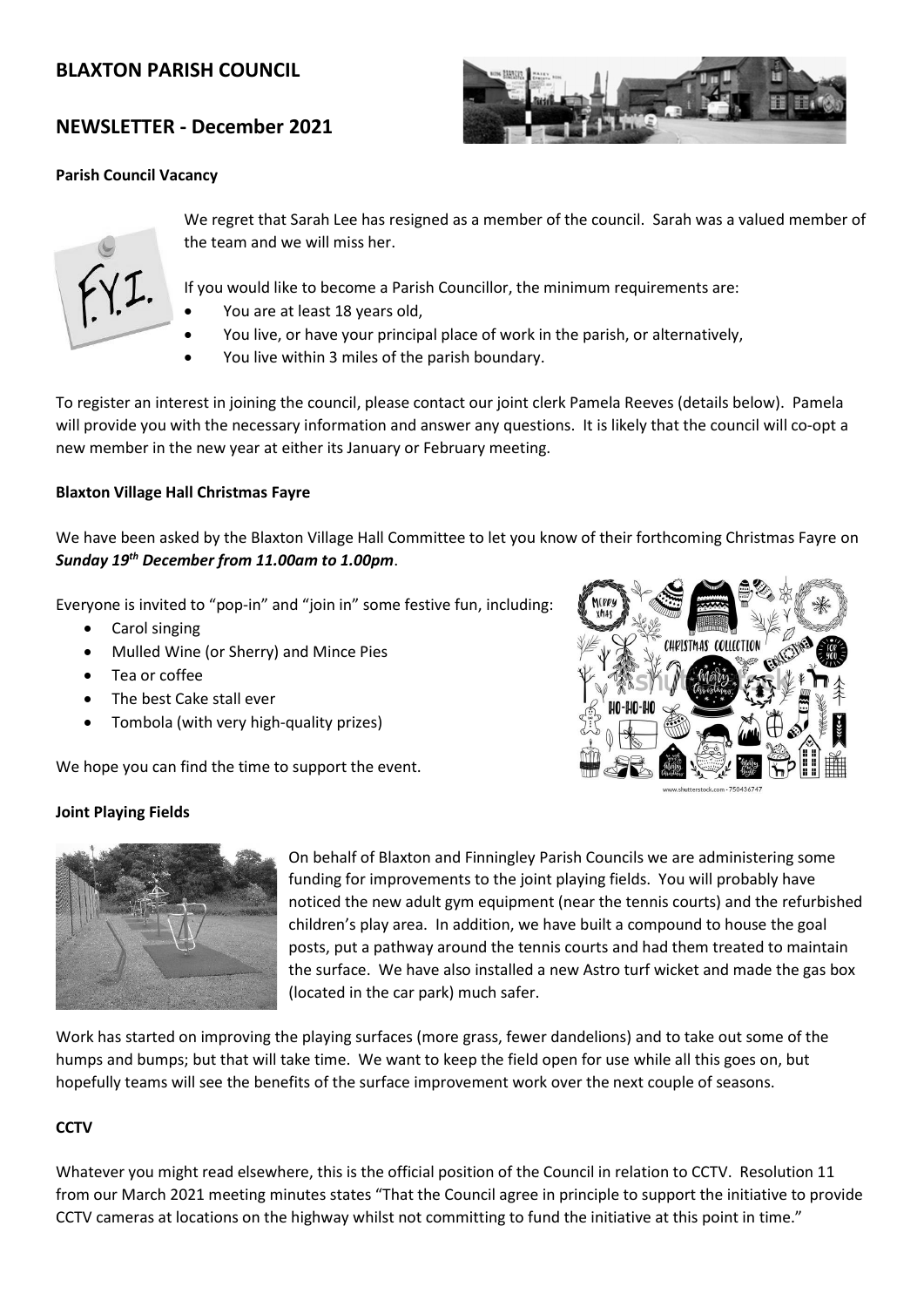# **BLAXTON PARISH COUNCIL**

# **NEWSLETTER - December 2021**

#### **Parish Council Vacancy**





We regret that Sarah Lee has resigned as a member of the council. Sarah was a valued member of the team and we will miss her.

If you would like to become a Parish Councillor, the minimum requirements are:

- You are at least 18 years old,
- You live, or have your principal place of work in the parish, or alternatively,
- You live within 3 miles of the parish boundary.

To register an interest in joining the council, please contact our joint clerk Pamela Reeves (details below). Pamela will provide you with the necessary information and answer any questions. It is likely that the council will co-opt a new member in the new year at either its January or February meeting.

# **Blaxton Village Hall Christmas Fayre**

We have been asked by the Blaxton Village Hall Committee to let you know of their forthcoming Christmas Fayre on *Sunday 19th December from 11.00am to 1.00pm*.

Everyone is invited to "pop-in" and "join in" some festive fun, including:

- Carol singing
- Mulled Wine (or Sherry) and Mince Pies
- Tea or coffee
- The best Cake stall ever
- Tombola (with very high-quality prizes)

We hope you can find the time to support the event.



# **Joint Playing Fields**



On behalf of Blaxton and Finningley Parish Councils we are administering some funding for improvements to the joint playing fields. You will probably have noticed the new adult gym equipment (near the tennis courts) and the refurbished children's play area. In addition, we have built a compound to house the goal posts, put a pathway around the tennis courts and had them treated to maintain the surface. We have also installed a new Astro turf wicket and made the gas box (located in the car park) much safer.

Work has started on improving the playing surfaces (more grass, fewer dandelions) and to take out some of the humps and bumps; but that will take time. We want to keep the field open for use while all this goes on, but hopefully teams will see the benefits of the surface improvement work over the next couple of seasons.

# **CCTV**

Whatever you might read elsewhere, this is the official position of the Council in relation to CCTV. Resolution 11 from our March 2021 meeting minutes states "That the Council agree in principle to support the initiative to provide CCTV cameras at locations on the highway whilst not committing to fund the initiative at this point in time."